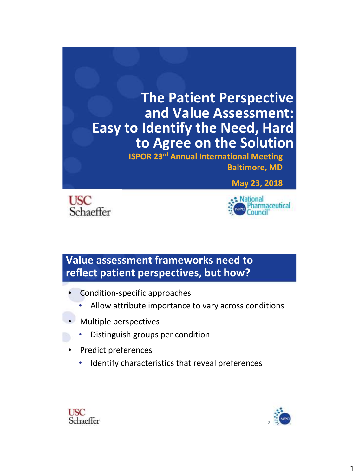





### **Value assessment frameworks need to reflect patient perspectives, but how?**

- Condition-specific approaches
	- Allow attribute importance to vary across conditions
- Multiple perspectives
	- Distinguish groups per condition
- Predict preferences
	- Identify characteristics that reveal preferences



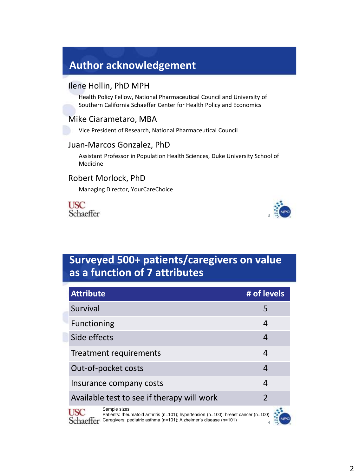### **Author acknowledgement**

#### Ilene Hollin, PhD MPH

Health Policy Fellow, National Pharmaceutical Council and University of Southern California Schaeffer Center for Health Policy and Economics

#### Mike Ciarametaro, MBA

Vice President of Research, National Pharmaceutical Council

#### Juan-Marcos Gonzalez, PhD

Assistant Professor in Population Health Sciences, Duke University School of Medicine

#### Robert Morlock, PhD

Managing Director, YourCareChoice





### **Surveyed 500+ patients/caregivers on value as a function of 7 attributes**

| <b>Attribute</b>                                                                                                 | # of levels    |  |  |  |
|------------------------------------------------------------------------------------------------------------------|----------------|--|--|--|
| Survival                                                                                                         | 5              |  |  |  |
| <b>Functioning</b>                                                                                               | 4              |  |  |  |
| Side effects                                                                                                     | 4              |  |  |  |
| Treatment requirements                                                                                           | 4              |  |  |  |
| Out-of-pocket costs                                                                                              | 4              |  |  |  |
| Insurance company costs<br>4                                                                                     |                |  |  |  |
| Available test to see if therapy will work                                                                       | $\overline{2}$ |  |  |  |
| Sample sizes:<br>Patients: rheumatoid arthritis ( $n=101$ ); hypertension ( $n=100$ ); breast cancer ( $n=100$ ) |                |  |  |  |

Caregivers: pediatric asthma (n=101); Alzheimer's disease (n=101)

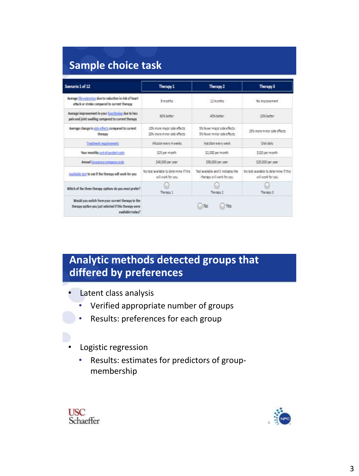| <b>Sample choice task</b> |  |  |
|---------------------------|--|--|
|                           |  |  |

| Scenario 1 of 12                                                                                                               | Therapy 1                                                                                                                       | Therapy 2                                                     | Therapy 3                                                   |  |  |
|--------------------------------------------------------------------------------------------------------------------------------|---------------------------------------------------------------------------------------------------------------------------------|---------------------------------------------------------------|-------------------------------------------------------------|--|--|
| Average life extension due to reduction in risk of heart<br>attack or stroke compared to current therapy                       | <b>Q</b> moths                                                                                                                  | 17 months                                                     | No improvement                                              |  |  |
| Average improvement in your functioning due to less<br>pain and joint swelling compared to current therapy                     | <b>60% hetter</b><br><b>ATK helber</b>                                                                                          |                                                               | 30% better                                                  |  |  |
| Average change in side effects compared to current<br>therapy                                                                  | 10% more major side effects.<br>XIS more minor side effects.                                                                    | 5% fewer major side effects.<br>5% feater minor side effects. | 15% more minor side effects.                                |  |  |
| Treatment requirements                                                                                                         | Infusion every 4 weeks.                                                                                                         | injection every week                                          | Oral daily                                                  |  |  |
| Your monthly out-of-pocket costs                                                                                               | \$25 per month<br>\$2,000 permonth                                                                                              |                                                               | S100 per month                                              |  |  |
| Annual insurance company costs                                                                                                 | 540,000 per year.                                                                                                               | \$50,000 per year                                             | \$25,000 per year                                           |  |  |
| Available test to see if the therapy will work for you                                                                         | Tect auxilable and it indicates the<br>Notest available to determine if this<br>will work for you<br>therapy will work for you. |                                                               | No best available to determine if this<br>will work for you |  |  |
| Which of the three therapy options do you most prefer?                                                                         | Therapy 1                                                                                                                       | The rapin 2                                                   | Therapy 3                                                   |  |  |
| Would you switch from your current therapy to the<br>therapy option you just selected if this therapy were<br>available today? |                                                                                                                                 | No<br>Yes                                                     |                                                             |  |  |

# **Analytic methods detected groups that differed by preferences**

• Latent class analysis

- Verified appropriate number of groups
- Results: preferences for each group
- Logistic regression
	- Results: estimates for predictors of groupmembership



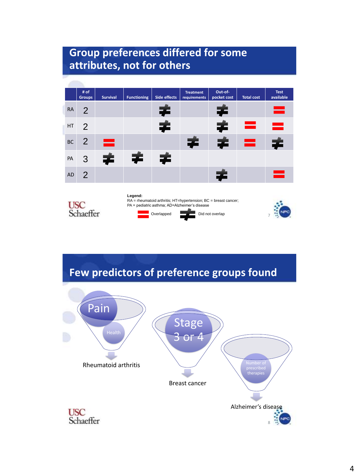# **Group preferences differed for some attributes, not for others**

|           | # of<br><b>Groups</b> | <b>Survival</b> | <b>Functioning</b> | Side effects | <b>Treatment</b><br>requirements | Out-of-<br>pocket cost | <b>Total cost</b> | <b>Test</b><br>available |
|-----------|-----------------------|-----------------|--------------------|--------------|----------------------------------|------------------------|-------------------|--------------------------|
| <b>RA</b> | $\overline{2}$        |                 |                    | ∓            |                                  | ∓                      |                   | e                        |
| HT        | 2                     |                 |                    | ≠            |                                  | ≠                      | ▄                 | $\bullet$                |
| <b>BC</b> | 2                     | ▄               |                    |              | ≠                                | 宇                      | ᆖ                 | ≠                        |
| PA        | 3                     | ≠               | ≠                  | 宇            |                                  |                        |                   |                          |
| <b>AD</b> | 2                     |                 |                    |              |                                  | 후                      |                   | ▄                        |



**Legend:**  RA = rheumatoid arthritis; HT=hypertension; BC = breast cancer; PA = pediatric asthma; AD=Alzheimer's disease Overlapped Did not overlap